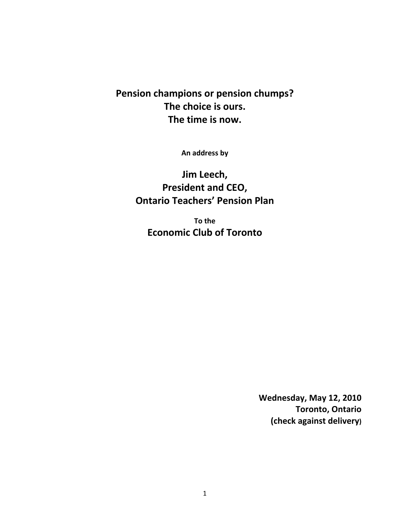## **Pension champions or pension chumps? The choice is ours. The time is now.**

**An address by**

**Jim Leech, President and CEO, Ontario Teachers' Pension Plan**

**To the Economic Club of Toronto**

> **Wednesday, May 12, 2010 Toronto, Ontario (check against delivery)**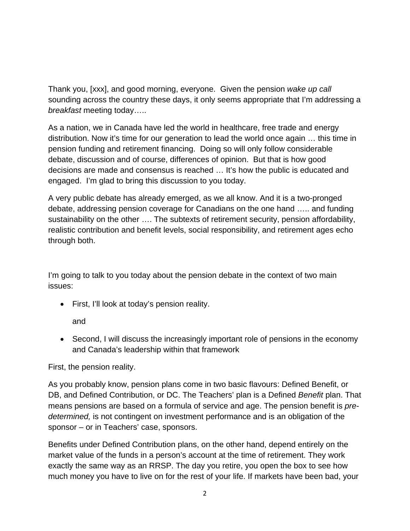Thank you, [xxx], and good morning, everyone. Given the pension *wake up call* sounding across the country these days, it only seems appropriate that I'm addressing a *breakfast* meeting today…..

As a nation, we in Canada have led the world in healthcare, free trade and energy distribution. Now it's time for our generation to lead the world once again … this time in pension funding and retirement financing. Doing so will only follow considerable debate, discussion and of course, differences of opinion. But that is how good decisions are made and consensus is reached … It's how the public is educated and engaged. I'm glad to bring this discussion to you today.

A very public debate has already emerged, as we all know. And it is a two-pronged debate, addressing pension coverage for Canadians on the one hand ….. and funding sustainability on the other …. The subtexts of retirement security, pension affordability, realistic contribution and benefit levels, social responsibility, and retirement ages echo through both.

I'm going to talk to you today about the pension debate in the context of two main issues:

• First, I'll look at today's pension reality.

and

• Second, I will discuss the increasingly important role of pensions in the economy and Canada's leadership within that framework

First, the pension reality.

As you probably know, pension plans come in two basic flavours: Defined Benefit, or DB, and Defined Contribution, or DC. The Teachers' plan is a Defined *Benefit* plan. That means pensions are based on a formula of service and age. The pension benefit is *predetermined,* is not contingent on investment performance and is an obligation of the sponsor – or in Teachers' case, sponsors.

Benefits under Defined Contribution plans, on the other hand, depend entirely on the market value of the funds in a person's account at the time of retirement. They work exactly the same way as an RRSP. The day you retire, you open the box to see how much money you have to live on for the rest of your life. If markets have been bad, your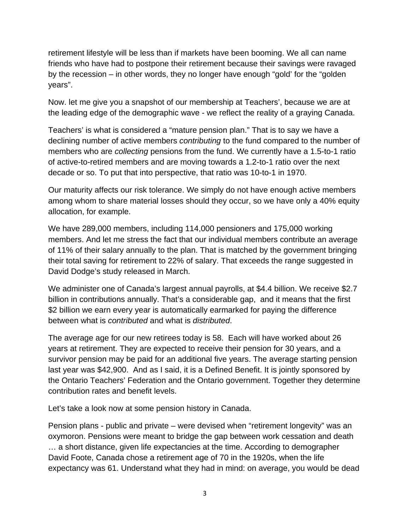retirement lifestyle will be less than if markets have been booming. We all can name friends who have had to postpone their retirement because their savings were ravaged by the recession – in other words, they no longer have enough "gold' for the "golden years".

Now. let me give you a snapshot of our membership at Teachers', because we are at the leading edge of the demographic wave - we reflect the reality of a graying Canada.

Teachers' is what is considered a "mature pension plan." That is to say we have a declining number of active members *contributing* to the fund compared to the number of members who are *collecting* pensions from the fund. We currently have a 1.5-to-1 ratio of active-to-retired members and are moving towards a 1.2-to-1 ratio over the next decade or so. To put that into perspective, that ratio was 10-to-1 in 1970.

Our maturity affects our risk tolerance. We simply do not have enough active members among whom to share material losses should they occur, so we have only a 40% equity allocation, for example.

We have 289,000 members, including 114,000 pensioners and 175,000 working members. And let me stress the fact that our individual members contribute an average of 11% of their salary annually to the plan. That is matched by the government bringing their total saving for retirement to 22% of salary. That exceeds the range suggested in David Dodge's study released in March.

We administer one of Canada's largest annual payrolls, at \$4.4 billion. We receive \$2.7 billion in contributions annually. That's a considerable gap, and it means that the first \$2 billion we earn every year is automatically earmarked for paying the difference between what is *contributed* and what is *distributed*.

The average age for our new retirees today is 58. Each will have worked about 26 years at retirement. They are expected to receive their pension for 30 years, and a survivor pension may be paid for an additional five years. The average starting pension last year was \$42,900. And as I said, it is a Defined Benefit. It is jointly sponsored by the Ontario Teachers' Federation and the Ontario government. Together they determine contribution rates and benefit levels.

Let's take a look now at some pension history in Canada.

Pension plans - public and private – were devised when "retirement longevity" was an oxymoron. Pensions were meant to bridge the gap between work cessation and death … a short distance, given life expectancies at the time. According to demographer David Foote, Canada chose a retirement age of 70 in the 1920s, when the life expectancy was 61. Understand what they had in mind: on average, you would be dead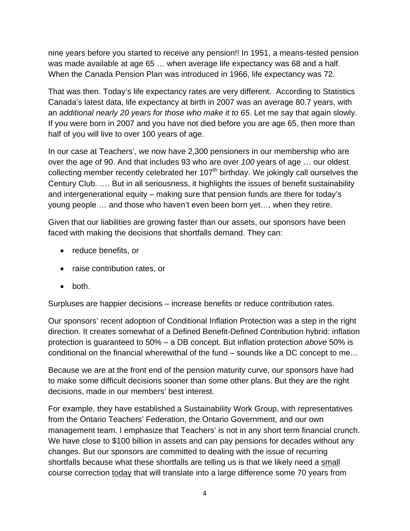nine years before you started to receive any pension!! In 1951, a means-tested pension was made available at age 65 … when average life expectancy was 68 and a half. When the Canada Pension Plan was introduced in 1966, life expectancy was 72.

That was then. Today's life expectancy rates are very different. According to Statistics Canada's latest data, life expectancy at birth in 2007 was an average 80.7 years, with an *additional nearly 20 years for those who make it to 65*. Let me say that again slowly. If you were born in 2007 and you have not died before you are age 65, then more than half of you will live to over 100 years of age.

In our case at Teachers', we now have 2,300 pensioners in our membership who are over the age of 90. And that includes 93 who are over *100* years of age … our oldest collecting member recently celebrated her  $107<sup>th</sup>$  birthday. We jokingly call ourselves the Century Club. …. But in all seriousness, it highlights the issues of benefit sustainability and intergenerational equity – making sure that pension funds are there for today's young people … and those who haven't even been born yet…, when they retire.

Given that our liabilities are growing faster than our assets, our sponsors have been faced with making the decisions that shortfalls demand. They can:

- reduce benefits, or
- raise contribution rates, or
- $\bullet$  both.

Surpluses are happier decisions – increase benefits or reduce contribution rates.

Our sponsors' recent adoption of Conditional Inflation Protection was a step in the right direction. It creates somewhat of a Defined Benefit-Defined Contribution hybrid: inflation protection is guaranteed to 50% – a DB concept. But inflation protection *above* 50% is conditional on the financial wherewithal of the fund – sounds like a DC concept to me…

Because we are at the front end of the pension maturity curve, our sponsors have had to make some difficult decisions sooner than some other plans. But they are the right decisions, made in our members' best interest.

For example, they have established a Sustainability Work Group, with representatives from the Ontario Teachers' Federation, the Ontario Government, and our own management team. I emphasize that Teachers' is not in any short term financial crunch. We have close to \$100 billion in assets and can pay pensions for decades without any changes. But our sponsors are committed to dealing with the issue of recurring shortfalls because what these shortfalls are telling us is that we likely need a small course correction today that will translate into a large difference some 70 years from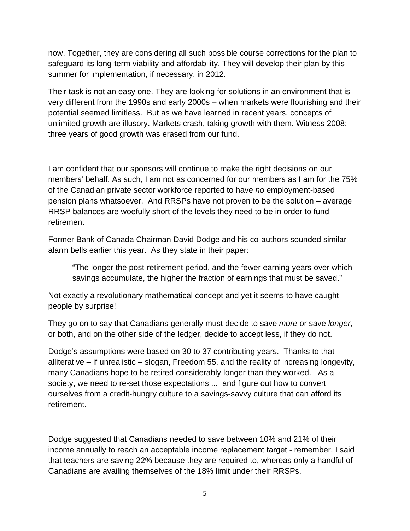now. Together, they are considering all such possible course corrections for the plan to safeguard its long-term viability and affordability. They will develop their plan by this summer for implementation, if necessary, in 2012.

Their task is not an easy one. They are looking for solutions in an environment that is very different from the 1990s and early 2000s – when markets were flourishing and their potential seemed limitless. But as we have learned in recent years, concepts of unlimited growth are illusory. Markets crash, taking growth with them. Witness 2008: three years of good growth was erased from our fund.

I am confident that our sponsors will continue to make the right decisions on our members' behalf. As such, I am not as concerned for our members as I am for the 75% of the Canadian private sector workforce reported to have *no* employment-based pension plans whatsoever. And RRSPs have not proven to be the solution – average RRSP balances are woefully short of the levels they need to be in order to fund retirement

Former Bank of Canada Chairman David Dodge and his co-authors sounded similar alarm bells earlier this year. As they state in their paper:

"The longer the post-retirement period, and the fewer earning years over which savings accumulate, the higher the fraction of earnings that must be saved."

Not exactly a revolutionary mathematical concept and yet it seems to have caught people by surprise!

They go on to say that Canadians generally must decide to save *more* or save *longer*, or both, and on the other side of the ledger, decide to accept less, if they do not.

Dodge's assumptions were based on 30 to 37 contributing years. Thanks to that alliterative – if unrealistic – slogan, Freedom 55, and the reality of increasing longevity, many Canadians hope to be retired considerably longer than they worked. As a society, we need to re-set those expectations ... and figure out how to convert ourselves from a credit-hungry culture to a savings-savvy culture that can afford its retirement.

Dodge suggested that Canadians needed to save between 10% and 21% of their income annually to reach an acceptable income replacement target - remember, I said that teachers are saving 22% because they are required to, whereas only a handful of Canadians are availing themselves of the 18% limit under their RRSPs.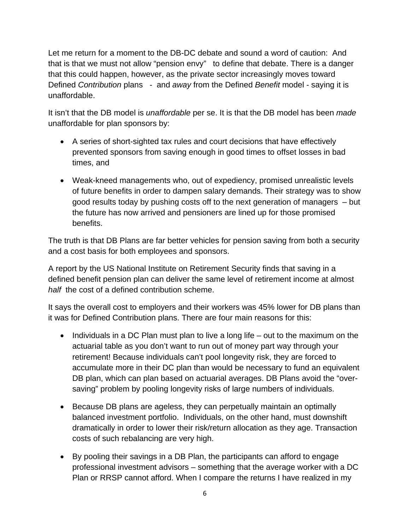Let me return for a moment to the DB-DC debate and sound a word of caution: And that is that we must not allow "pension envy" to define that debate. There is a danger that this could happen, however, as the private sector increasingly moves toward Defined *Contribution* plans - and *away* from the Defined *Benefit* model - saying it is unaffordable.

It isn't that the DB model is *unaffordable* per se. It is that the DB model has been *made* unaffordable for plan sponsors by:

- A series of short-sighted tax rules and court decisions that have effectively prevented sponsors from saving enough in good times to offset losses in bad times, and
- Weak-kneed managements who, out of expediency, promised unrealistic levels of future benefits in order to dampen salary demands. Their strategy was to show good results today by pushing costs off to the next generation of managers – but the future has now arrived and pensioners are lined up for those promised benefits.

The truth is that DB Plans are far better vehicles for pension saving from both a security and a cost basis for both employees and sponsors.

A report by the US National Institute on Retirement Security finds that saving in a defined benefit pension plan can deliver the same level of retirement income at almost *half* the cost of a defined contribution scheme.

It says the overall cost to employers and their workers was 45% lower for DB plans than it was for Defined Contribution plans. There are four main reasons for this:

- $\bullet$  Individuals in a DC Plan must plan to live a long life out to the maximum on the actuarial table as you don't want to run out of money part way through your retirement! Because individuals can't pool longevity risk, they are forced to accumulate more in their DC plan than would be necessary to fund an equivalent DB plan, which can plan based on actuarial averages. DB Plans avoid the "oversaving" problem by pooling longevity risks of large numbers of individuals.
- Because DB plans are ageless, they can perpetually maintain an optimally balanced investment portfolio. Individuals, on the other hand, must downshift dramatically in order to lower their risk/return allocation as they age. Transaction costs of such rebalancing are very high.
- By pooling their savings in a DB Plan, the participants can afford to engage professional investment advisors – something that the average worker with a DC Plan or RRSP cannot afford. When I compare the returns I have realized in my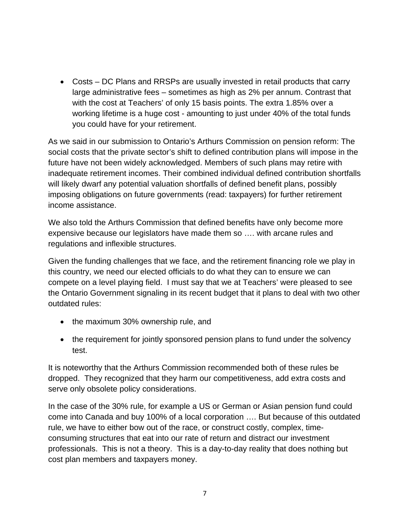Costs – DC Plans and RRSPs are usually invested in retail products that carry large administrative fees – sometimes as high as 2% per annum. Contrast that with the cost at Teachers' of only 15 basis points. The extra 1.85% over a working lifetime is a huge cost - amounting to just under 40% of the total funds you could have for your retirement.

As we said in our submission to Ontario's Arthurs Commission on pension reform: The social costs that the private sector's shift to defined contribution plans will impose in the future have not been widely acknowledged. Members of such plans may retire with inadequate retirement incomes. Their combined individual defined contribution shortfalls will likely dwarf any potential valuation shortfalls of defined benefit plans, possibly imposing obligations on future governments (read: taxpayers) for further retirement income assistance.

We also told the Arthurs Commission that defined benefits have only become more expensive because our legislators have made them so …. with arcane rules and regulations and inflexible structures.

Given the funding challenges that we face, and the retirement financing role we play in this country, we need our elected officials to do what they can to ensure we can compete on a level playing field. I must say that we at Teachers' were pleased to see the Ontario Government signaling in its recent budget that it plans to deal with two other outdated rules:

- the maximum 30% ownership rule, and
- the requirement for jointly sponsored pension plans to fund under the solvency test.

It is noteworthy that the Arthurs Commission recommended both of these rules be dropped. They recognized that they harm our competitiveness, add extra costs and serve only obsolete policy considerations.

In the case of the 30% rule, for example a US or German or Asian pension fund could come into Canada and buy 100% of a local corporation …. But because of this outdated rule, we have to either bow out of the race, or construct costly, complex, timeconsuming structures that eat into our rate of return and distract our investment professionals. This is not a theory. This is a day-to-day reality that does nothing but cost plan members and taxpayers money.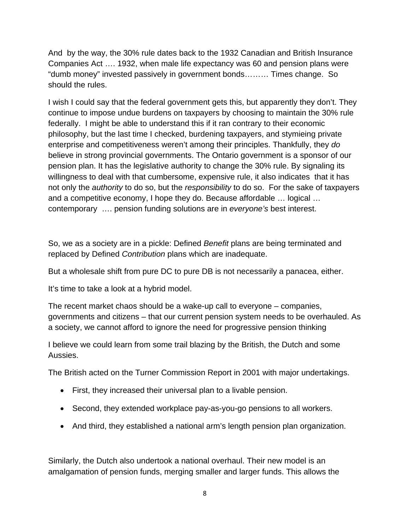And by the way, the 30% rule dates back to the 1932 Canadian and British Insurance Companies Act …. 1932, when male life expectancy was 60 and pension plans were "dumb money" invested passively in government bonds……… Times change. So should the rules.

I wish I could say that the federal government gets this, but apparently they don't. They continue to impose undue burdens on taxpayers by choosing to maintain the 30% rule federally. I might be able to understand this if it ran contrary to their economic philosophy, but the last time I checked, burdening taxpayers, and stymieing private enterprise and competitiveness weren't among their principles. Thankfully, they *do* believe in strong provincial governments. The Ontario government is a sponsor of our pension plan. It has the legislative authority to change the 30% rule. By signaling its willingness to deal with that cumbersome, expensive rule, it also indicates that it has not only the *authority* to do so, but the *responsibility* to do so. For the sake of taxpayers and a competitive economy, I hope they do. Because affordable … logical … contemporary …. pension funding solutions are in *everyone's* best interest.

So, we as a society are in a pickle: Defined *Benefit* plans are being terminated and replaced by Defined *Contribution* plans which are inadequate.

But a wholesale shift from pure DC to pure DB is not necessarily a panacea, either.

It's time to take a look at a hybrid model.

The recent market chaos should be a wake-up call to everyone – companies, governments and citizens – that our current pension system needs to be overhauled. As a society, we cannot afford to ignore the need for progressive pension thinking

I believe we could learn from some trail blazing by the British, the Dutch and some Aussies.

The British acted on the Turner Commission Report in 2001 with major undertakings.

- First, they increased their universal plan to a livable pension.
- Second, they extended workplace pay-as-you-go pensions to all workers.
- And third, they established a national arm's length pension plan organization.

Similarly, the Dutch also undertook a national overhaul. Their new model is an amalgamation of pension funds, merging smaller and larger funds. This allows the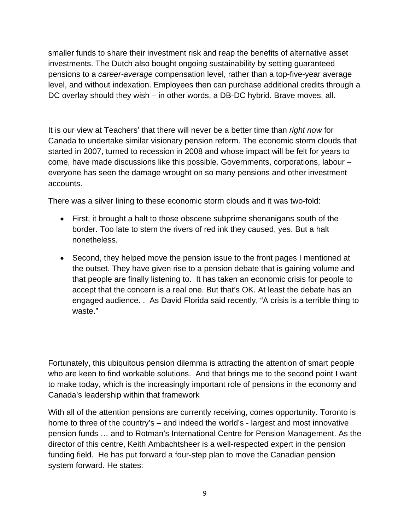smaller funds to share their investment risk and reap the benefits of alternative asset investments. The Dutch also bought ongoing sustainability by setting guaranteed pensions to a *career-average* compensation level, rather than a top-five-year average level, and without indexation. Employees then can purchase additional credits through a DC overlay should they wish – in other words, a DB-DC hybrid. Brave moves, all.

It is our view at Teachers' that there will never be a better time than *right now* for Canada to undertake similar visionary pension reform. The economic storm clouds that started in 2007, turned to recession in 2008 and whose impact will be felt for years to come, have made discussions like this possible. Governments, corporations, labour – everyone has seen the damage wrought on so many pensions and other investment accounts.

There was a silver lining to these economic storm clouds and it was two-fold:

- First, it brought a halt to those obscene subprime shenanigans south of the border. Too late to stem the rivers of red ink they caused, yes. But a halt nonetheless.
- Second, they helped move the pension issue to the front pages I mentioned at the outset. They have given rise to a pension debate that is gaining volume and that people are finally listening to. It has taken an economic crisis for people to accept that the concern is a real one. But that's OK. At least the debate has an engaged audience. . As David Florida said recently, "A crisis is a terrible thing to waste."

Fortunately, this ubiquitous pension dilemma is attracting the attention of smart people who are keen to find workable solutions. And that brings me to the second point I want to make today, which is the increasingly important role of pensions in the economy and Canada's leadership within that framework

With all of the attention pensions are currently receiving, comes opportunity. Toronto is home to three of the country's – and indeed the world's - largest and most innovative pension funds … and to Rotman's International Centre for Pension Management. As the director of this centre, Keith Ambachtsheer is a well-respected expert in the pension funding field. He has put forward a four-step plan to move the Canadian pension system forward. He states: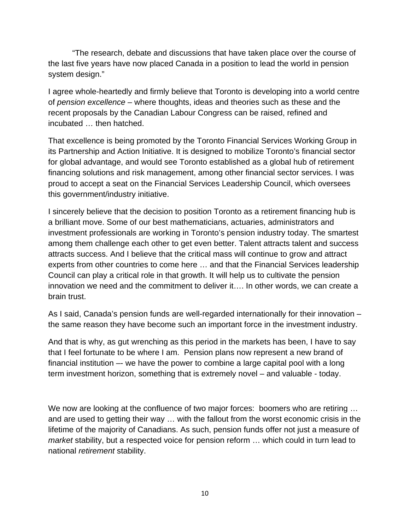"The research, debate and discussions that have taken place over the course of the last five years have now placed Canada in a position to lead the world in pension system design."

I agree whole-heartedly and firmly believe that Toronto is developing into a world centre of *pension excellence* – where thoughts, ideas and theories such as these and the recent proposals by the Canadian Labour Congress can be raised, refined and incubated … then hatched.

That excellence is being promoted by the Toronto Financial Services Working Group in its Partnership and Action Initiative. It is designed to mobilize Toronto's financial sector for global advantage, and would see Toronto established as a global hub of retirement financing solutions and risk management, among other financial sector services. I was proud to accept a seat on the Financial Services Leadership Council, which oversees this government/industry initiative.

I sincerely believe that the decision to position Toronto as a retirement financing hub is a brilliant move. Some of our best mathematicians, actuaries, administrators and investment professionals are working in Toronto's pension industry today. The smartest among them challenge each other to get even better. Talent attracts talent and success attracts success. And I believe that the critical mass will continue to grow and attract experts from other countries to come here … and that the Financial Services leadership Council can play a critical role in that growth. It will help us to cultivate the pension innovation we need and the commitment to deliver it…. In other words, we can create a brain trust.

As I said, Canada's pension funds are well-regarded internationally for their innovation – the same reason they have become such an important force in the investment industry.

And that is why, as gut wrenching as this period in the markets has been, I have to say that I feel fortunate to be where I am. Pension plans now represent a new brand of financial institution –- we have the power to combine a large capital pool with a long term investment horizon, something that is extremely novel – and valuable - today.

We now are looking at the confluence of two major forces: boomers who are retiring ... and are used to getting their way … with the fallout from the worst economic crisis in the lifetime of the majority of Canadians. As such, pension funds offer not just a measure of *market* stability, but a respected voice for pension reform … which could in turn lead to national *retirement* stability.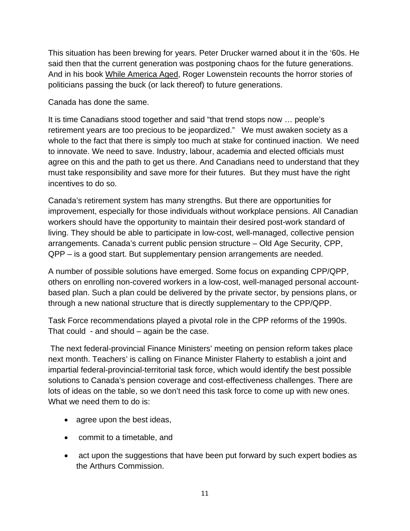This situation has been brewing for years. Peter Drucker warned about it in the '60s. He said then that the current generation was postponing chaos for the future generations. And in his book While America Aged, Roger Lowenstein recounts the horror stories of politicians passing the buck (or lack thereof) to future generations.

Canada has done the same.

It is time Canadians stood together and said "that trend stops now … people's retirement years are too precious to be jeopardized." We must awaken society as a whole to the fact that there is simply too much at stake for continued inaction. We need to innovate. We need to save. Industry, labour, academia and elected officials must agree on this and the path to get us there. And Canadians need to understand that they must take responsibility and save more for their futures. But they must have the right incentives to do so.

Canada's retirement system has many strengths. But there are opportunities for improvement, especially for those individuals without workplace pensions. All Canadian workers should have the opportunity to maintain their desired post-work standard of living. They should be able to participate in low-cost, well-managed, collective pension arrangements. Canada's current public pension structure – Old Age Security, CPP, QPP – is a good start. But supplementary pension arrangements are needed.

A number of possible solutions have emerged. Some focus on expanding CPP/QPP, others on enrolling non-covered workers in a low-cost, well-managed personal accountbased plan. Such a plan could be delivered by the private sector, by pensions plans, or through a new national structure that is directly supplementary to the CPP/QPP.

Task Force recommendations played a pivotal role in the CPP reforms of the 1990s. That could - and should – again be the case.

 The next federal-provincial Finance Ministers' meeting on pension reform takes place next month. Teachers' is calling on Finance Minister Flaherty to establish a joint and impartial federal-provincial-territorial task force, which would identify the best possible solutions to Canada's pension coverage and cost-effectiveness challenges. There are lots of ideas on the table, so we don't need this task force to come up with new ones. What we need them to do is:

- agree upon the best ideas,
- commit to a timetable, and
- act upon the suggestions that have been put forward by such expert bodies as the Arthurs Commission.